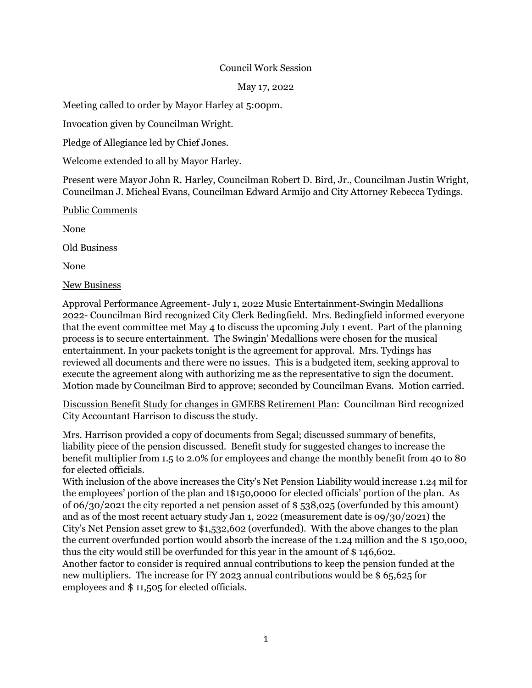## Council Work Session

May 17, 2022

Meeting called to order by Mayor Harley at 5:00pm.

Invocation given by Councilman Wright.

Pledge of Allegiance led by Chief Jones.

Welcome extended to all by Mayor Harley.

Present were Mayor John R. Harley, Councilman Robert D. Bird, Jr., Councilman Justin Wright, Councilman J. Micheal Evans, Councilman Edward Armijo and City Attorney Rebecca Tydings.

Public Comments

None

Old Business

None

New Business

Approval Performance Agreement- July 1, 2022 Music Entertainment-Swingin Medallions 2022- Councilman Bird recognized City Clerk Bedingfield. Mrs. Bedingfield informed everyone that the event committee met May 4 to discuss the upcoming July 1 event. Part of the planning process is to secure entertainment. The Swingin' Medallions were chosen for the musical entertainment. In your packets tonight is the agreement for approval. Mrs. Tydings has reviewed all documents and there were no issues. This is a budgeted item, seeking approval to execute the agreement along with authorizing me as the representative to sign the document. Motion made by Councilman Bird to approve; seconded by Councilman Evans. Motion carried.

Discussion Benefit Study for changes in GMEBS Retirement Plan: Councilman Bird recognized City Accountant Harrison to discuss the study.

Mrs. Harrison provided a copy of documents from Segal; discussed summary of benefits, liability piece of the pension discussed. Benefit study for suggested changes to increase the benefit multiplier from 1.5 to 2.0% for employees and change the monthly benefit from 40 to 80 for elected officials.

With inclusion of the above increases the City's Net Pension Liability would increase 1.24 mil for the employees' portion of the plan and t\$150,0000 for elected officials' portion of the plan. As of 06/30/2021 the city reported a net pension asset of \$ 538,025 (overfunded by this amount) and as of the most recent actuary study Jan 1, 2022 (measurement date is 09/30/2021) the City's Net Pension asset grew to \$1,532,602 (overfunded). With the above changes to the plan the current overfunded portion would absorb the increase of the 1.24 million and the \$ 150,000, thus the city would still be overfunded for this year in the amount of \$ 146,602.

Another factor to consider is required annual contributions to keep the pension funded at the new multipliers. The increase for FY 2023 annual contributions would be \$ 65,625 for employees and \$ 11,505 for elected officials.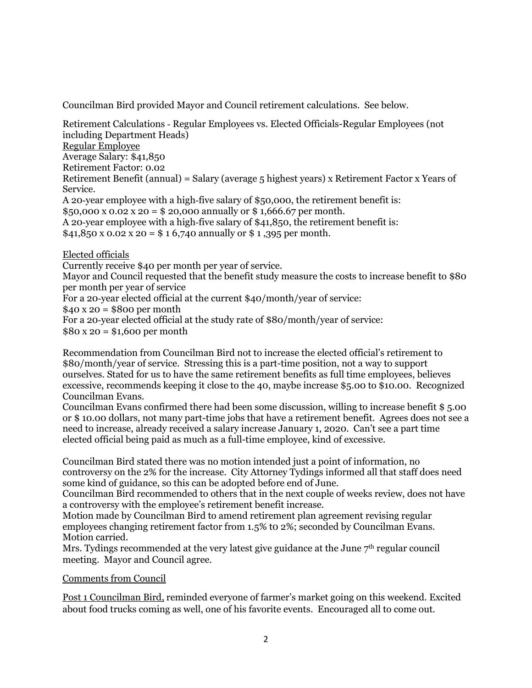Councilman Bird provided Mayor and Council retirement calculations. See below.

Retirement Calculations ‐ Regular Employees vs. Elected Officials-Regular Employees (not including Department Heads) Regular Employee Average Salary: \$41,850 Retirement Factor: 0.02 Retirement Benefit (annual) = Salary (average 5 highest years) x Retirement Factor x Years of Service. A 20‐year employee with a high‐five salary of \$50,000, the retirement benefit is: \$50,000 x 0.02 x 20 = \$ 20,000 annually or \$ 1,666.67 per month. A 20‐year employee with a high‐five salary of \$41,850, the retirement benefit is:  $$41,850 \times 0.02 \times 20 = $16,740$  annually or \$1,395 per month. Elected officials Currently receive \$40 per month per year of service. Mayor and Council requested that the benefit study measure the costs to increase benefit to \$80 per month per year of service For a 20-year elected official at the current \$40/month/year of service:

 $$40 x 20 = $800$  per month

For a 20-year elected official at the study rate of \$80/month/year of service:

 $$80 x 20 = $1,600$  per month

Recommendation from Councilman Bird not to increase the elected official's retirement to \$80/month/year of service. Stressing this is a part-time position, not a way to support ourselves. Stated for us to have the same retirement benefits as full time employees, believes excessive, recommends keeping it close to the 40, maybe increase \$5.00 to \$10.00. Recognized Councilman Evans.

Councilman Evans confirmed there had been some discussion, willing to increase benefit \$ 5.00 or \$ 10.00 dollars, not many part-time jobs that have a retirement benefit. Agrees does not see a need to increase, already received a salary increase January 1, 2020. Can't see a part time elected official being paid as much as a full-time employee, kind of excessive.

Councilman Bird stated there was no motion intended just a point of information, no controversy on the 2% for the increase. City Attorney Tydings informed all that staff does need some kind of guidance, so this can be adopted before end of June.

Councilman Bird recommended to others that in the next couple of weeks review, does not have a controversy with the employee's retirement benefit increase.

Motion made by Councilman Bird to amend retirement plan agreement revising regular employees changing retirement factor from 1.5% t0 2%; seconded by Councilman Evans. Motion carried.

Mrs. Tydings recommended at the very latest give guidance at the June  $7<sup>th</sup>$  regular council meeting. Mayor and Council agree.

## Comments from Council

Post 1 Councilman Bird, reminded everyone of farmer's market going on this weekend. Excited about food trucks coming as well, one of his favorite events. Encouraged all to come out.